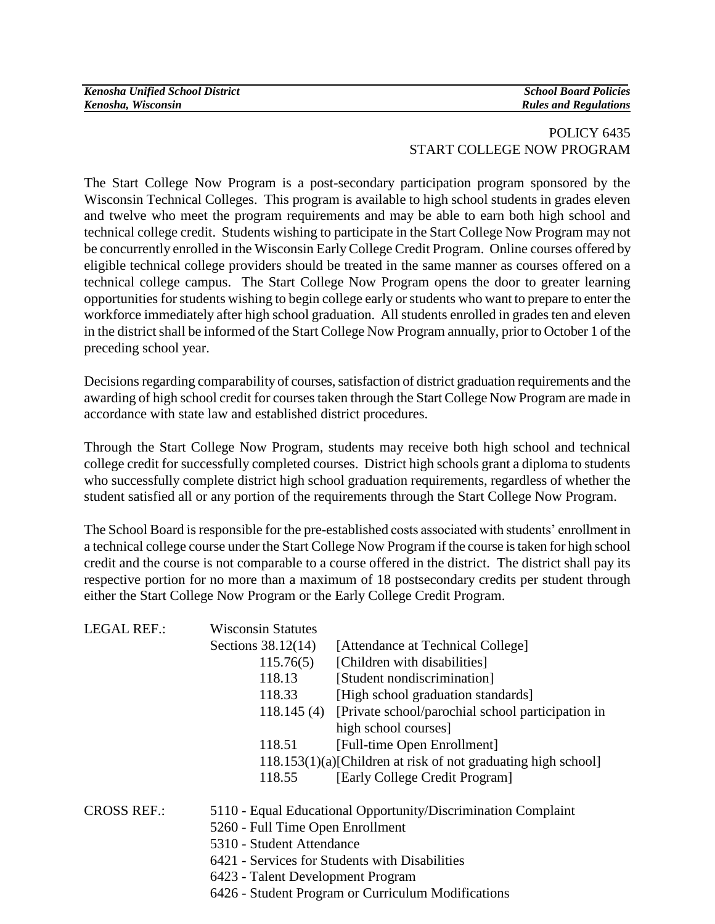| <b>Kenosha Unified School District</b> | <b>School Board Policies</b> |
|----------------------------------------|------------------------------|
| Kenosha, Wisconsin                     | <b>Rules and Regulations</b> |

### POLICY 6435 START COLLEGE NOW PROGRAM

The Start College Now Program is a post-secondary participation program sponsored by the Wisconsin Technical Colleges. This program is available to high school students in grades eleven and twelve who meet the program requirements and may be able to earn both high school and technical college credit. Students wishing to participate in the Start College Now Program may not be concurrently enrolled in the Wisconsin Early College Credit Program. Online courses offered by eligible technical college providers should be treated in the same manner as courses offered on a technical college campus. The Start College Now Program opens the door to greater learning opportunities for students wishing to begin college early or students who want to prepare to enter the workforce immediately after high school graduation. All students enrolled in grades ten and eleven in the district shall be informed of the Start College Now Program annually, prior to October 1 of the preceding school year.

Decisions regarding comparability of courses, satisfaction of district graduation requirements and the awarding of high school credit for courses taken through the Start College Now Program are made in accordance with state law and established district procedures.

Through the Start College Now Program*,* students may receive both high school and technical college credit for successfully completed courses. District high schools grant a diploma to students who successfully complete district high school graduation requirements, regardless of whether the student satisfied all or any portion of the requirements through the Start College Now Program.

The School Board is responsible for the pre-established costs associated with students' enrollment in a technical college course under the Start College Now Program if the course is taken for high school credit and the course is not comparable to a course offered in the district. The district shall pay its respective portion for no more than a maximum of 18 postsecondary credits per student through either the Start College Now Program or the Early College Credit Program.

| <b>LEGAL REF.:</b> | <b>Wisconsin Statutes</b>                                        |                                                               |  |
|--------------------|------------------------------------------------------------------|---------------------------------------------------------------|--|
|                    | Sections 38.12(14)                                               | [Attendance at Technical College]                             |  |
|                    | 115.76(5)                                                        | [Children with disabilities]                                  |  |
|                    | 118.13                                                           | [Student nondiscrimination]                                   |  |
|                    | 118.33                                                           | [High school graduation standards]                            |  |
|                    |                                                                  | 118.145 (4) [Private school/parochial school participation in |  |
|                    |                                                                  | high school courses]                                          |  |
|                    | 118.51                                                           | [Full-time Open Enrollment]                                   |  |
|                    | $118.153(1)(a)$ [Children at risk of not graduating high school] |                                                               |  |
|                    | 118.55                                                           | [Early College Credit Program]                                |  |
| <b>CROSS REF.:</b> |                                                                  | 5110 - Equal Educational Opportunity/Discrimination Complaint |  |
|                    | 5260 - Full Time Open Enrollment                                 |                                                               |  |
|                    | 5310 - Student Attendance                                        |                                                               |  |
|                    | 6421 - Services for Students with Disabilities                   |                                                               |  |
|                    | 6423 - Talent Development Program                                |                                                               |  |
|                    |                                                                  |                                                               |  |

6426 - Student Program or Curriculum Modifications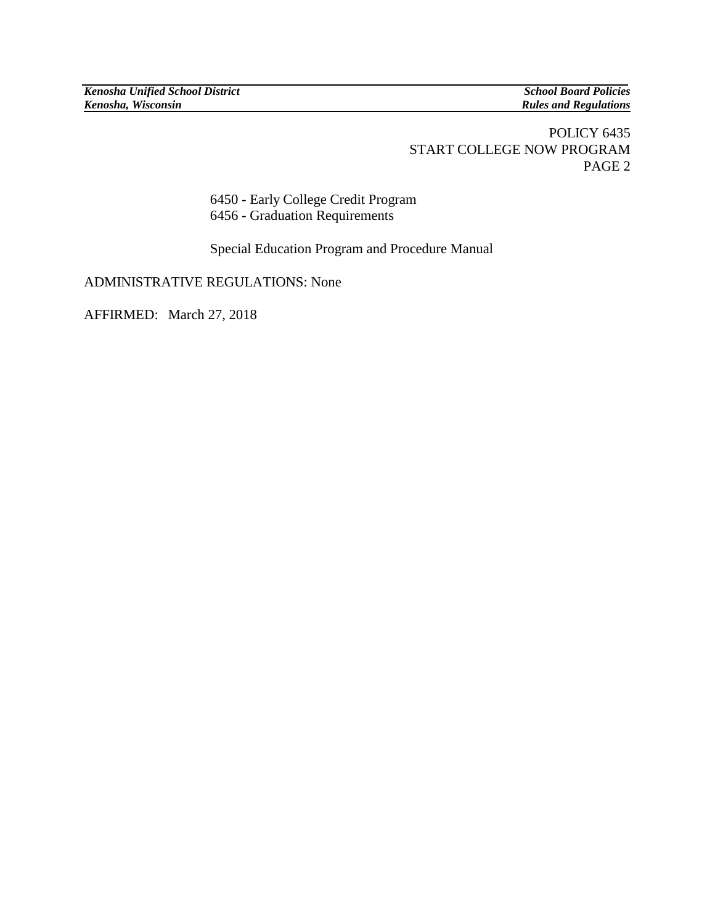### POLICY 6435 START COLLEGE NOW PROGRAM PAGE 2

6450 - Early College Credit Program 6456 - Graduation Requirements

Special Education Program and Procedure Manual

ADMINISTRATIVE REGULATIONS: None

AFFIRMED: March 27, 2018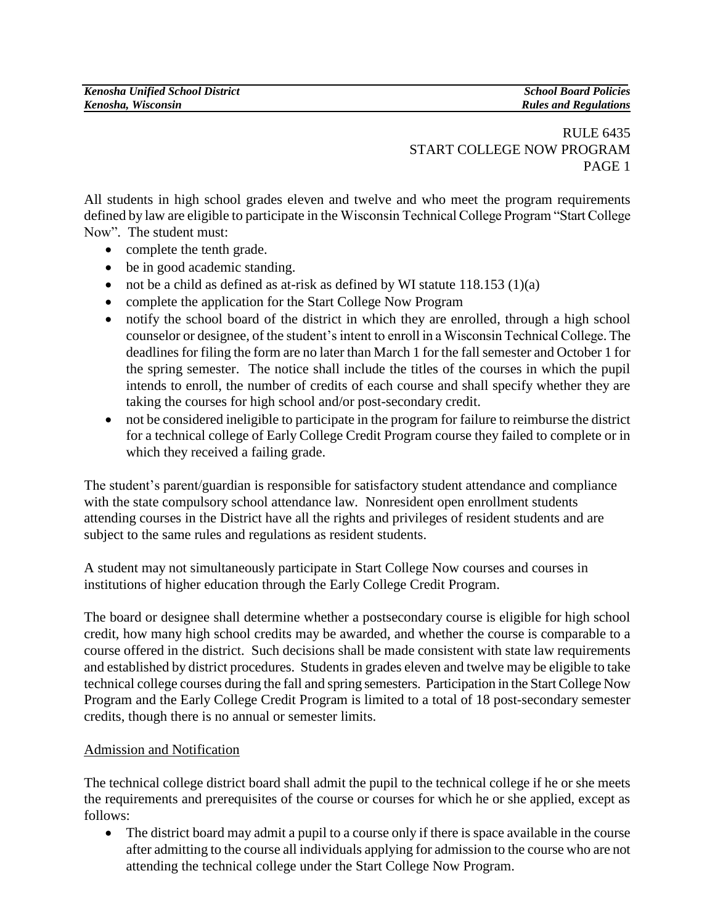### RULE 6435 START COLLEGE NOW PROGRAM PAGE 1

All students in high school grades eleven and twelve and who meet the program requirements defined by law are eligible to participate in the Wisconsin Technical College Program "Start College Now". The student must:

- complete the tenth grade.
- be in good academic standing.
- not be a child as defined as at-risk as defined by WI statute  $118.153$  (1)(a)
- complete the application for the Start College Now Program
- notify the school board of the district in which they are enrolled, through a high school counselor or designee, of the student's intent to enroll in a Wisconsin Technical College. The deadlines for filing the form are no later than March 1 for the fall semester and October 1 for the spring semester. The notice shall include the titles of the courses in which the pupil intends to enroll, the number of credits of each course and shall specify whether they are taking the courses for high school and/or post-secondary credit.
- not be considered ineligible to participate in the program for failure to reimburse the district for a technical college of Early College Credit Program course they failed to complete or in which they received a failing grade.

The student's parent/guardian is responsible for satisfactory student attendance and compliance with the state compulsory school attendance law*.* Nonresident open enrollment students attending courses in the District have all the rights and privileges of resident students and are subject to the same rules and regulations as resident students.

A student may not simultaneously participate in Start College Now courses and courses in institutions of higher education through the Early College Credit Program.

The board or designee shall determine whether a postsecondary course is eligible for high school credit, how many high school credits may be awarded, and whether the course is comparable to a course offered in the district. Such decisions shall be made consistent with state law requirements and established by district procedures. Students in grades eleven and twelve may be eligible to take technical college courses during the fall and spring semesters. Participation in the Start College Now Program and the Early College Credit Program is limited to a total of 18 post-secondary semester credits, though there is no annual or semester limits.

#### Admission and Notification

The technical college district board shall admit the pupil to the technical college if he or she meets the requirements and prerequisites of the course or courses for which he or she applied, except as follows:

• The district board may admit a pupil to a course only if there is space available in the course after admitting to the course all individuals applying for admission to the course who are not attending the technical college under the Start College Now Program.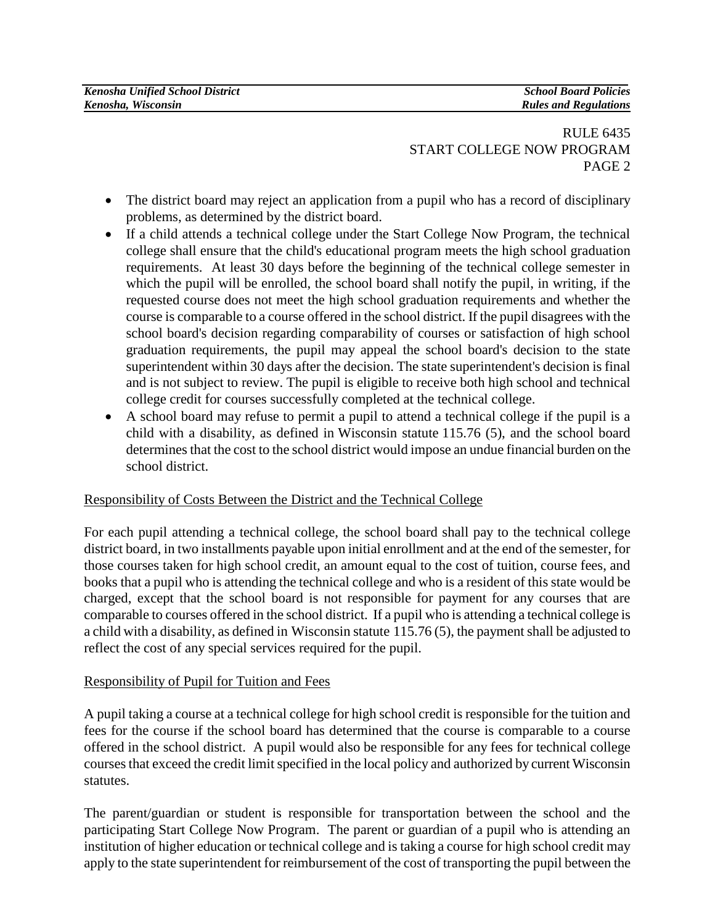### RULE 6435 START COLLEGE NOW PROGRAM PAGE 2

- The district board may reject an application from a pupil who has a record of disciplinary problems, as determined by the district board.
- If a child attends a technical college under the Start College Now Program, the technical college shall ensure that the child's educational program meets the high school graduation requirements. At least 30 days before the beginning of the technical college semester in which the pupil will be enrolled, the school board shall notify the pupil, in writing, if the requested course does not meet the high school graduation requirements and whether the course is comparable to a course offered in the school district. If the pupil disagrees with the school board's decision regarding comparability of courses or satisfaction of high school graduation requirements, the pupil may appeal the school board's decision to the state superintendent within 30 days after the decision. The state superintendent's decision is final and is not subject to review. The pupil is eligible to receive both high school and technical college credit for courses successfully completed at the technical college.
- A school board may refuse to permit a pupil to attend a technical college if the pupil is a child with a disability, as defined in Wisconsin statute 115.76 (5), and the school board determines that the cost to the school district would impose an undue financial burden on the school district.

# Responsibility of Costs Between the District and the Technical College

For each pupil attending a technical college, the school board shall pay to the technical college district board, in two installments payable upon initial enrollment and at the end of the semester, for those courses taken for high school credit, an amount equal to the cost of tuition, course fees, and books that a pupil who is attending the technical college and who is a resident of this state would be charged, except that the school board is not responsible for payment for any courses that are comparable to courses offered in the school district. If a pupil who is attending a technical college is a child with a disability, as defined in Wisconsin statute 115.76 (5), the payment shall be adjusted to reflect the cost of any special services required for the pupil.

# Responsibility of Pupil for Tuition and Fees

A pupil taking a course at a technical college for high school credit is responsible for the tuition and fees for the course if the school board has determined that the course is comparable to a course offered in the school district. A pupil would also be responsible for any fees for technical college courses that exceed the credit limit specified in the local policy and authorized by current Wisconsin statutes.

The parent/guardian or student is responsible for transportation between the school and the participating Start College Now Program. The parent or guardian of a pupil who is attending an institution of higher education or technical college and is taking a course for high school credit may apply to the state superintendent for reimbursement of the cost of transporting the pupil between the